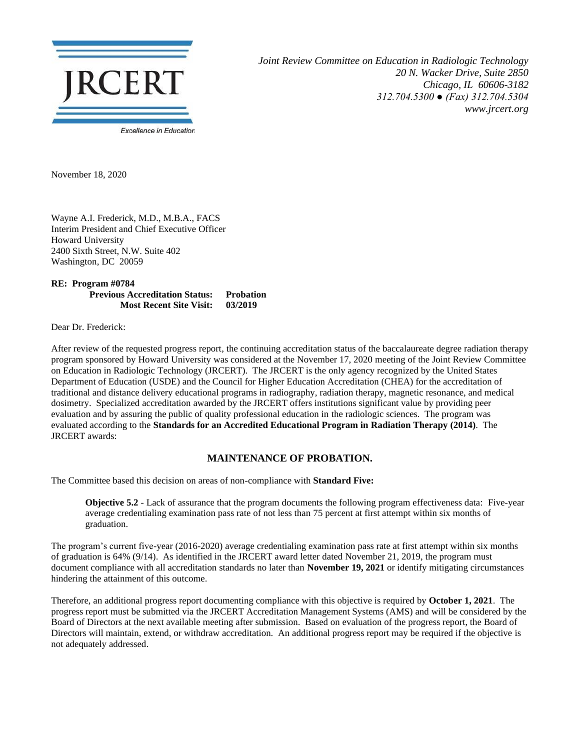

*Joint Review Committee on Education in Radiologic Technology 20 N. Wacker Drive, Suite 2850 Chicago, IL 60606-3182 312.704.5300 ● (Fax) 312.704.5304 www.jrcert.org*

November 18, 2020

Wayne A.I. Frederick, M.D., M.B.A., FACS Interim President and Chief Executive Officer Howard University 2400 Sixth Street, N.W. Suite 402 Washington, DC 20059

**RE: Program #0784 Previous Accreditation Status: Probation Most Recent Site Visit: 03/2019**

Dear Dr. Frederick:

After review of the requested progress report, the continuing accreditation status of the baccalaureate degree radiation therapy program sponsored by Howard University was considered at the November 17, 2020 meeting of the Joint Review Committee on Education in Radiologic Technology (JRCERT). The JRCERT is the only agency recognized by the United States Department of Education (USDE) and the Council for Higher Education Accreditation (CHEA) for the accreditation of traditional and distance delivery educational programs in radiography, radiation therapy, magnetic resonance, and medical dosimetry. Specialized accreditation awarded by the JRCERT offers institutions significant value by providing peer evaluation and by assuring the public of quality professional education in the radiologic sciences. The program was evaluated according to the **Standards for an Accredited Educational Program in Radiation Therapy (2014)**. The JRCERT awards:

## **MAINTENANCE OF PROBATION.**

The Committee based this decision on areas of non-compliance with **Standard Five:**

**Objective 5.2** - Lack of assurance that the program documents the following program effectiveness data: Five-year average credentialing examination pass rate of not less than 75 percent at first attempt within six months of graduation.

The program's current five-year (2016-2020) average credentialing examination pass rate at first attempt within six months of graduation is 64% (9/14). As identified in the JRCERT award letter dated November 21, 2019, the program must document compliance with all accreditation standards no later than **November 19, 2021** or identify mitigating circumstances hindering the attainment of this outcome.

Therefore, an additional progress report documenting compliance with this objective is required by **October 1, 2021**. The progress report must be submitted via the JRCERT Accreditation Management Systems (AMS) and will be considered by the Board of Directors at the next available meeting after submission. Based on evaluation of the progress report, the Board of Directors will maintain, extend, or withdraw accreditation. An additional progress report may be required if the objective is not adequately addressed.